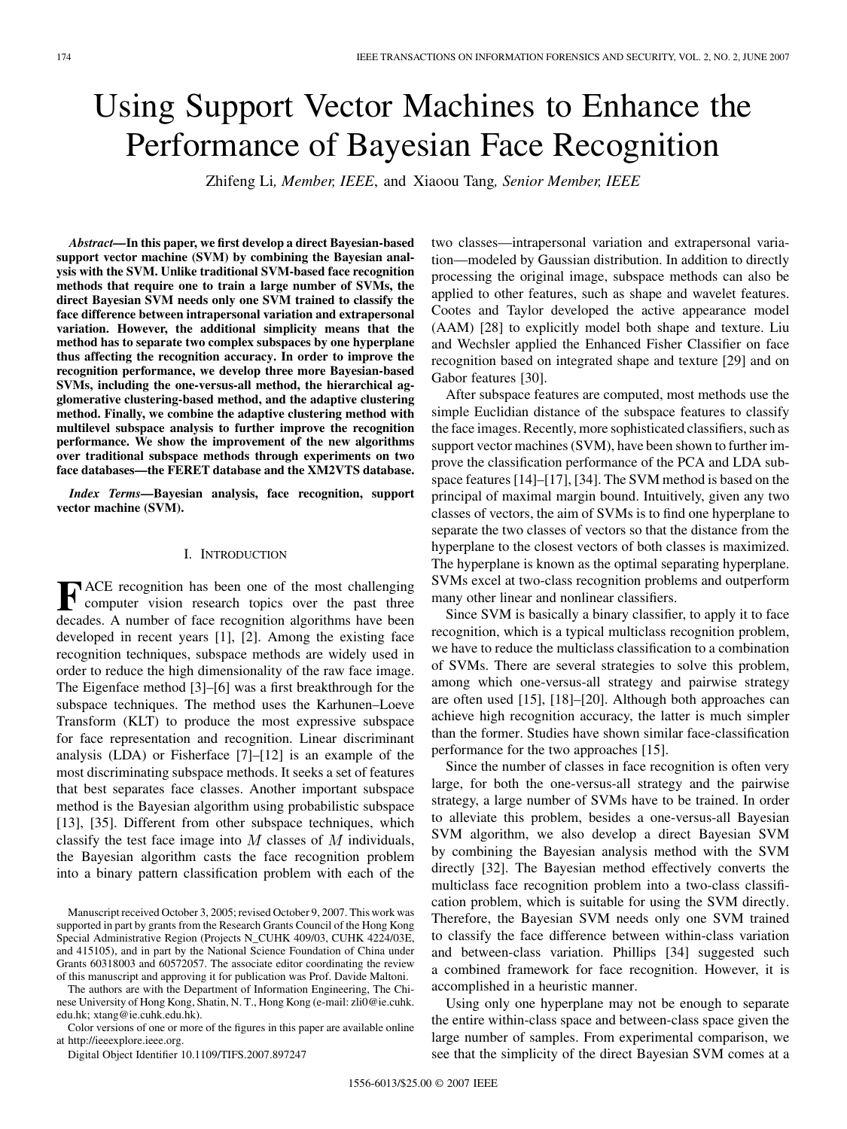# Using Support Vector Machines to Enhance the Performance of Bayesian Face Recognition

Zhifeng Li*, Member, IEEE*, and Xiaoou Tang*, Senior Member, IEEE*

*Abstract—***In this paper, we first develop a direct Bayesian-based support vector machine (SVM) by combining the Bayesian analysis with the SVM. Unlike traditional SVM-based face recognition methods that require one to train a large number of SVMs, the direct Bayesian SVM needs only one SVM trained to classify the face difference between intrapersonal variation and extrapersonal variation. However, the additional simplicity means that the method has to separate two complex subspaces by one hyperplane thus affecting the recognition accuracy. In order to improve the recognition performance, we develop three more Bayesian-based SVMs, including the one-versus-all method, the hierarchical agglomerative clustering-based method, and the adaptive clustering method. Finally, we combine the adaptive clustering method with multilevel subspace analysis to further improve the recognition performance. We show the improvement of the new algorithms over traditional subspace methods through experiments on two face databases—the FERET database and the XM2VTS database.**

*Index Terms—***Bayesian analysis, face recognition, support vector machine (SVM).**

## I. INTRODUCTION

**F** ACE recognition has been one of the most challenging<br>computer vision research topics over the past three computer vision research topics over the past three decades. A number of face recognition algorithms have been developed in recent years [1], [2]. Among the existing face recognition techniques, subspace methods are widely used in order to reduce the high dimensionality of the raw face image. The Eigenface method [3]–[6] was a first breakthrough for the subspace techniques. The method uses the Karhunen–Loeve Transform (KLT) to produce the most expressive subspace for face representation and recognition. Linear discriminant analysis (LDA) or Fisherface [7]–[12] is an example of the most discriminating subspace methods. It seeks a set of features that best separates face classes. Another important subspace method is the Bayesian algorithm using probabilistic subspace [13], [35]. Different from other subspace techniques, which classify the test face image into  $M$  classes of  $M$  individuals, the Bayesian algorithm casts the face recognition problem into a binary pattern classification problem with each of the

The authors are with the Department of Information Engineering, The Chinese University of Hong Kong, Shatin, N. T., Hong Kong (e-mail: zli0@ie.cuhk. edu.hk; xtang@ie.cuhk.edu.hk).

Color versions of one or more of the figures in this paper are available online at http://ieeexplore.ieee.org.

Digital Object Identifier 10.1109/TIFS.2007.897247

two classes—intrapersonal variation and extrapersonal variation—modeled by Gaussian distribution. In addition to directly processing the original image, subspace methods can also be applied to other features, such as shape and wavelet features. Cootes and Taylor developed the active appearance model (AAM) [28] to explicitly model both shape and texture. Liu and Wechsler applied the Enhanced Fisher Classifier on face recognition based on integrated shape and texture [29] and on Gabor features [30].

After subspace features are computed, most methods use the simple Euclidian distance of the subspace features to classify the face images. Recently, more sophisticated classifiers, such as support vector machines (SVM), have been shown to further improve the classification performance of the PCA and LDA subspace features [14]–[17], [34]. The SVM method is based on the principal of maximal margin bound. Intuitively, given any two classes of vectors, the aim of SVMs is to find one hyperplane to separate the two classes of vectors so that the distance from the hyperplane to the closest vectors of both classes is maximized. The hyperplane is known as the optimal separating hyperplane. SVMs excel at two-class recognition problems and outperform many other linear and nonlinear classifiers.

Since SVM is basically a binary classifier, to apply it to face recognition, which is a typical multiclass recognition problem, we have to reduce the multiclass classification to a combination of SVMs. There are several strategies to solve this problem, among which one-versus-all strategy and pairwise strategy are often used [15], [18]–[20]. Although both approaches can achieve high recognition accuracy, the latter is much simpler than the former. Studies have shown similar face-classification performance for the two approaches [15].

Since the number of classes in face recognition is often very large, for both the one-versus-all strategy and the pairwise strategy, a large number of SVMs have to be trained. In order to alleviate this problem, besides a one-versus-all Bayesian SVM algorithm, we also develop a direct Bayesian SVM by combining the Bayesian analysis method with the SVM directly [32]. The Bayesian method effectively converts the multiclass face recognition problem into a two-class classification problem, which is suitable for using the SVM directly. Therefore, the Bayesian SVM needs only one SVM trained to classify the face difference between within-class variation and between-class variation. Phillips [34] suggested such a combined framework for face recognition. However, it is accomplished in a heuristic manner.

Using only one hyperplane may not be enough to separate the entire within-class space and between-class space given the large number of samples. From experimental comparison, we see that the simplicity of the direct Bayesian SVM comes at a

Manuscript received October 3, 2005; revised October 9, 2007. This work was supported in part by grants from the Research Grants Council of the Hong Kong Special Administrative Region (Projects N\_CUHK 409/03, CUHK 4224/03E, and 415105), and in part by the National Science Foundation of China under Grants 60318003 and 60572057. The associate editor coordinating the review of this manuscript and approving it for publication was Prof. Davide Maltoni.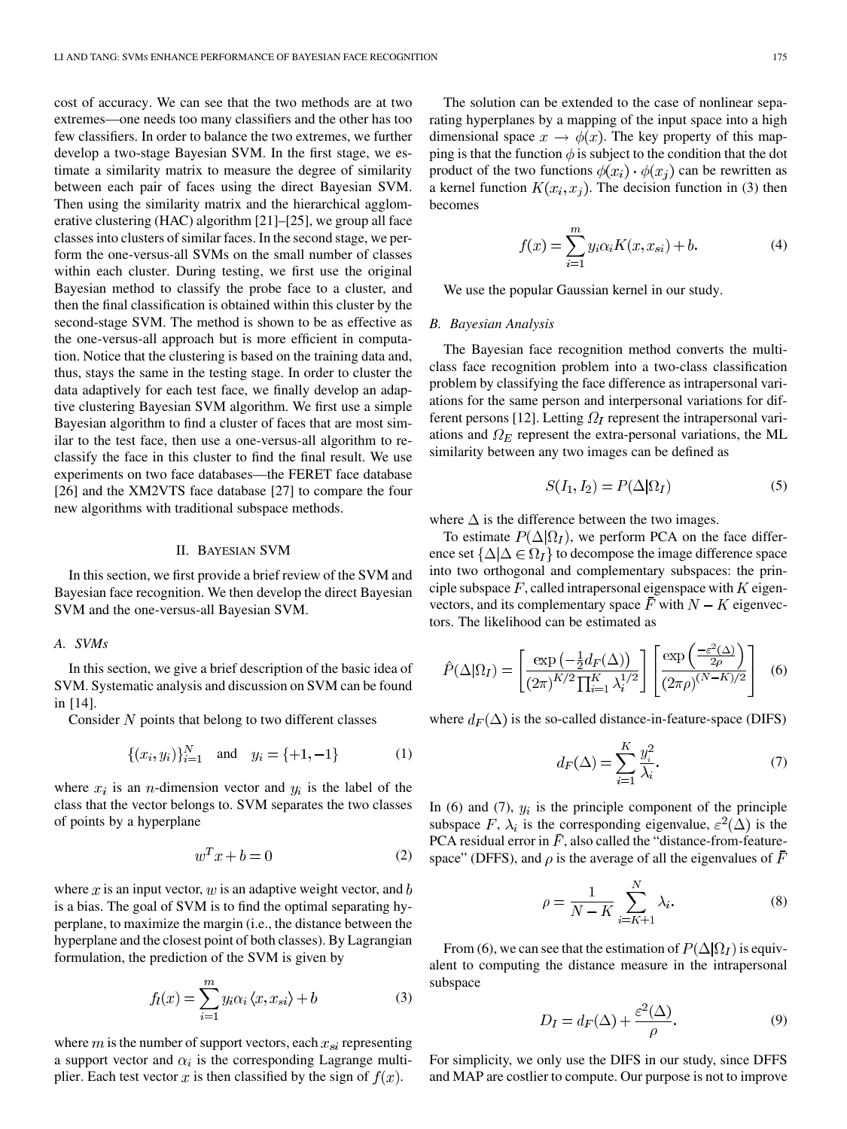cost of accuracy. We can see that the two methods are at two extremes—one needs too many classifiers and the other has too few classifiers. In order to balance the two extremes, we further develop a two-stage Bayesian SVM. In the first stage, we estimate a similarity matrix to measure the degree of similarity between each pair of faces using the direct Bayesian SVM. Then using the similarity matrix and the hierarchical agglomerative clustering (HAC) algorithm [21]–[25], we group all face classes into clusters of similar faces. In the second stage, we perform the one-versus-all SVMs on the small number of classes within each cluster. During testing, we first use the original Bayesian method to classify the probe face to a cluster, and then the final classification is obtained within this cluster by the second-stage SVM. The method is shown to be as effective as the one-versus-all approach but is more efficient in computation. Notice that the clustering is based on the training data and, thus, stays the same in the testing stage. In order to cluster the data adaptively for each test face, we finally develop an adaptive clustering Bayesian SVM algorithm. We first use a simple Bayesian algorithm to find a cluster of faces that are most similar to the test face, then use a one-versus-all algorithm to reclassify the face in this cluster to find the final result. We use experiments on two face databases—the FERET face database [26] and the XM2VTS face database [27] to compare the four new algorithms with traditional subspace methods.

## II. BAYESIAN SVM

In this section, we first provide a brief review of the SVM and Bayesian face recognition. We then develop the direct Bayesian SVM and the one-versus-all Bayesian SVM.

## *A. SVMs*

In this section, we give a brief description of the basic idea of SVM. Systematic analysis and discussion on SVM can be found in [14].

Consider  $N$  points that belong to two different classes

$$
\{(x_i, y_i)\}_{i=1}^N \text{ and } y_i = \{+1, -1\} \tag{1}
$$

where  $x_i$  is an *n*-dimension vector and  $y_i$  is the label of the class that the vector belongs to. SVM separates the two classes of points by a hyperplane

$$
w^T x + b = 0 \tag{2}
$$

where x is an input vector,  $w$  is an adaptive weight vector, and  $b$ is a bias. The goal of SVM is to find the optimal separating hyperplane, to maximize the margin (i.e., the distance between the hyperplane and the closest point of both classes). By Lagrangian formulation, the prediction of the SVM is given by

$$
f_l(x) = \sum_{i=1}^{m} y_i \alpha_i \langle x, x_{si} \rangle + b \tag{3}
$$

where  $m$  is the number of support vectors, each  $x_{si}$  representing a support vector and  $\alpha_i$  is the corresponding Lagrange multiplier. Each test vector x is then classified by the sign of  $f(x)$ .

The solution can be extended to the case of nonlinear separating hyperplanes by a mapping of the input space into a high dimensional space  $x \to \phi(x)$ . The key property of this mapping is that the function  $\phi$  is subject to the condition that the dot product of the two functions  $\phi(x_i) \cdot \phi(x_i)$  can be rewritten as a kernel function  $K(x_i, x_j)$ . The decision function in (3) then becomes

$$
f(x) = \sum_{i=1}^{m} y_i \alpha_i K(x, x_{si}) + b.
$$
 (4)

We use the popular Gaussian kernel in our study.

#### *B. Bayesian Analysis*

The Bayesian face recognition method converts the multiclass face recognition problem into a two-class classification problem by classifying the face difference as intrapersonal variations for the same person and interpersonal variations for different persons [12]. Letting  $\Omega_I$  represent the intrapersonal variations and  $\Omega_E$  represent the extra-personal variations, the ML similarity between any two images can be defined as

$$
S(I_1, I_2) = P(\Delta | \Omega_I)
$$
\n(5)

where  $\Delta$  is the difference between the two images.

To estimate  $P(\Delta|\Omega_I)$ , we perform PCA on the face difference set  $\{\Delta | \Delta \in \Omega_I\}$  to decompose the image difference space into two orthogonal and complementary subspaces: the principle subspace  $F$ , called intrapersonal eigenspace with  $K$  eigenvectors, and its complementary space  $\bar{F}$  with  $N - K$  eigenvectors. The likelihood can be estimated as

$$
\hat{P}(\Delta|\Omega_I) = \left[\frac{\exp\left(-\frac{1}{2}d_F(\Delta)\right)}{(2\pi)^{K/2}\prod_{i=1}^K \lambda_i^{1/2}}\right] \left[\frac{\exp\left(\frac{-\varepsilon^2(\Delta)}{2\rho}\right)}{(2\pi\rho)^{(N-K)/2}}\right] \quad (6)
$$

where  $d_F(\Delta)$  is the so-called distance-in-feature-space (DIFS)

$$
d_F(\Delta) = \sum_{i=1}^{K} \frac{y_i^2}{\lambda_i}.
$$
 (7)

In (6) and (7),  $y_i$  is the principle component of the principle subspace F,  $\lambda_i$  is the corresponding eigenvalue,  $\varepsilon^2(\Delta)$  is the PCA residual error in  $\bar{F}$ , also called the "distance-from-featurespace" (DFFS), and  $\rho$  is the average of all the eigenvalues of  $\overline{F}$ 

$$
\rho = \frac{1}{N - K} \sum_{i=K+1}^{N} \lambda_i.
$$
\n(8)

From (6), we can see that the estimation of  $P(\Delta|\Omega_I)$  is equivalent to computing the distance measure in the intrapersonal subspace

$$
D_I = d_F(\Delta) + \frac{\varepsilon^2(\Delta)}{\rho}.
$$
 (9)

For simplicity, we only use the DIFS in our study, since DFFS and MAP are costlier to compute. Our purpose is not to improve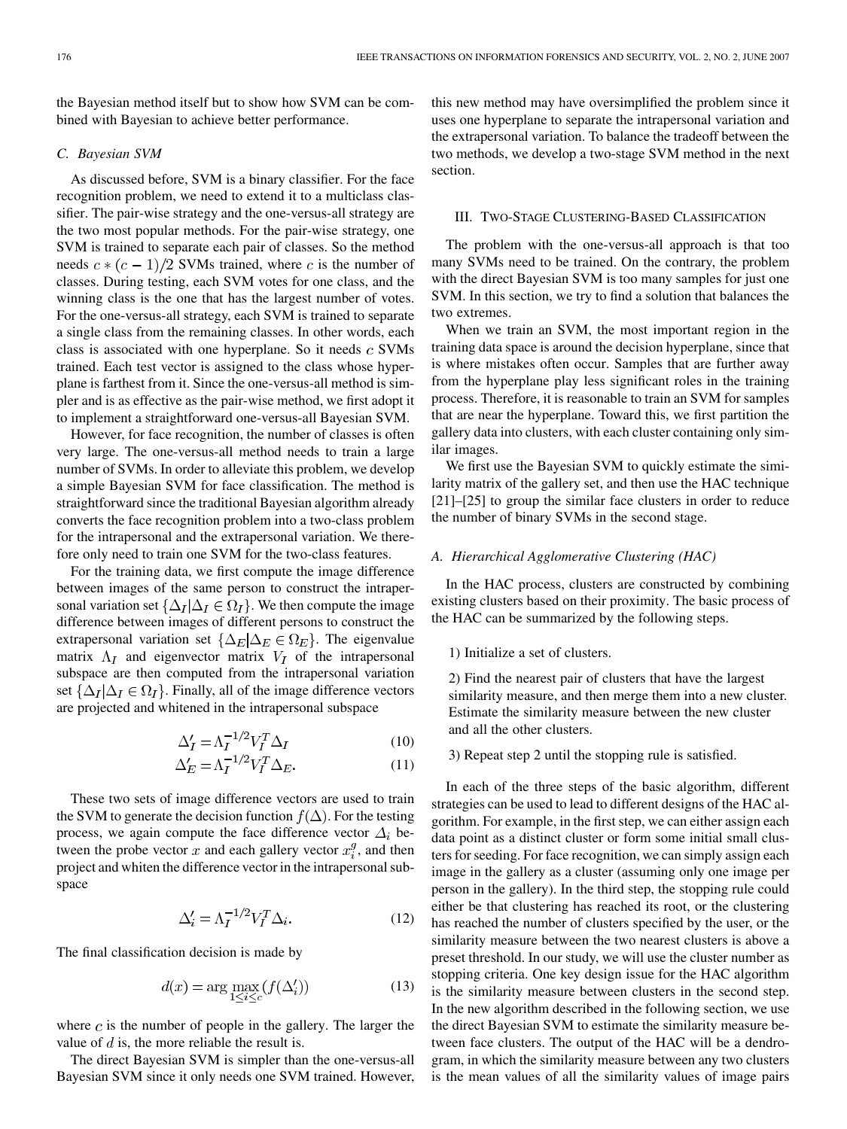the Bayesian method itself but to show how SVM can be combined with Bayesian to achieve better performance.

#### *C. Bayesian SVM*

As discussed before, SVM is a binary classifier. For the face recognition problem, we need to extend it to a multiclass classifier. The pair-wise strategy and the one-versus-all strategy are the two most popular methods. For the pair-wise strategy, one SVM is trained to separate each pair of classes. So the method needs  $c * (c - 1)/2$  SVMs trained, where c is the number of classes. During testing, each SVM votes for one class, and the winning class is the one that has the largest number of votes. For the one-versus-all strategy, each SVM is trained to separate a single class from the remaining classes. In other words, each class is associated with one hyperplane. So it needs  $c$  SVMs trained. Each test vector is assigned to the class whose hyperplane is farthest from it. Since the one-versus-all method is simpler and is as effective as the pair-wise method, we first adopt it to implement a straightforward one-versus-all Bayesian SVM.

However, for face recognition, the number of classes is often very large. The one-versus-all method needs to train a large number of SVMs. In order to alleviate this problem, we develop a simple Bayesian SVM for face classification. The method is straightforward since the traditional Bayesian algorithm already converts the face recognition problem into a two-class problem for the intrapersonal and the extrapersonal variation. We therefore only need to train one SVM for the two-class features.

For the training data, we first compute the image difference between images of the same person to construct the intrapersonal variation set  $\{\Delta_I | \Delta_I \in \Omega_I\}$ . We then compute the image difference between images of different persons to construct the extrapersonal variation set  $\{\Delta_E | \Delta_E \in \Omega_E\}$ . The eigenvalue matrix  $\Lambda_I$  and eigenvector matrix  $V_I$  of the intrapersonal subspace are then computed from the intrapersonal variation set  $\{\Delta_I|\Delta_I\in\Omega_I\}$ . Finally, all of the image difference vectors are projected and whitened in the intrapersonal subspace

$$
\Delta_I' = \Lambda_I^{-1/2} V_I^T \Delta_I \tag{10}
$$

$$
\Delta_E' = \Lambda_I^{-1/2} V_I^T \Delta_E. \tag{11}
$$

These two sets of image difference vectors are used to train the SVM to generate the decision function  $f(\Delta)$ . For the testing process, we again compute the face difference vector  $\Delta_i$  between the probe vector x and each gallery vector  $x_i^g$ , and then project and whiten the difference vector in the intrapersonal subspace

$$
\Delta_i' = \Lambda_I^{-1/2} V_I^T \Delta_i. \tag{12}
$$

The final classification decision is made by

$$
d(x) = \arg\max_{1 \le i \le c} (f(\Delta_i')) \tag{13}
$$

where  $c$  is the number of people in the gallery. The larger the value of  $d$  is, the more reliable the result is.

The direct Bayesian SVM is simpler than the one-versus-all Bayesian SVM since it only needs one SVM trained. However, this new method may have oversimplified the problem since it uses one hyperplane to separate the intrapersonal variation and the extrapersonal variation. To balance the tradeoff between the two methods, we develop a two-stage SVM method in the next section.

# III. TWO-STAGE CLUSTERING-BASED CLASSIFICATION

The problem with the one-versus-all approach is that too many SVMs need to be trained. On the contrary, the problem with the direct Bayesian SVM is too many samples for just one SVM. In this section, we try to find a solution that balances the two extremes.

When we train an SVM, the most important region in the training data space is around the decision hyperplane, since that is where mistakes often occur. Samples that are further away from the hyperplane play less significant roles in the training process. Therefore, it is reasonable to train an SVM for samples that are near the hyperplane. Toward this, we first partition the gallery data into clusters, with each cluster containing only similar images.

We first use the Bayesian SVM to quickly estimate the similarity matrix of the gallery set, and then use the HAC technique [21]–[25] to group the similar face clusters in order to reduce the number of binary SVMs in the second stage.

## *A. Hierarchical Agglomerative Clustering (HAC)*

In the HAC process, clusters are constructed by combining existing clusters based on their proximity. The basic process of the HAC can be summarized by the following steps.

#### 1) Initialize a set of clusters.

2) Find the nearest pair of clusters that have the largest similarity measure, and then merge them into a new cluster. Estimate the similarity measure between the new cluster and all the other clusters.

3) Repeat step 2 until the stopping rule is satisfied.

In each of the three steps of the basic algorithm, different strategies can be used to lead to different designs of the HAC algorithm. For example, in the first step, we can either assign each data point as a distinct cluster or form some initial small clusters for seeding. For face recognition, we can simply assign each image in the gallery as a cluster (assuming only one image per person in the gallery). In the third step, the stopping rule could either be that clustering has reached its root, or the clustering has reached the number of clusters specified by the user, or the similarity measure between the two nearest clusters is above a preset threshold. In our study, we will use the cluster number as stopping criteria. One key design issue for the HAC algorithm is the similarity measure between clusters in the second step. In the new algorithm described in the following section, we use the direct Bayesian SVM to estimate the similarity measure between face clusters. The output of the HAC will be a dendrogram, in which the similarity measure between any two clusters is the mean values of all the similarity values of image pairs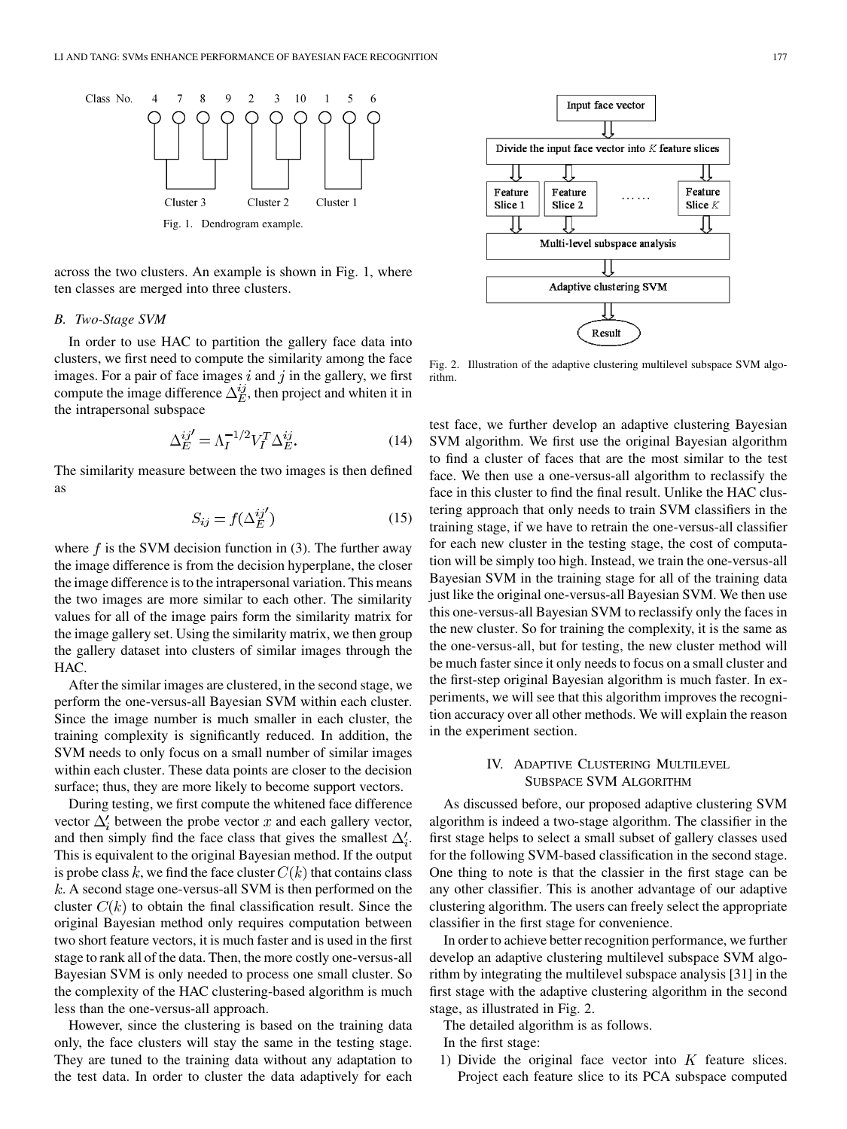

across the two clusters. An example is shown in Fig. 1, where ten classes are merged into three clusters.

## *B. Two-Stage SVM*

In order to use HAC to partition the gallery face data into clusters, we first need to compute the similarity among the face images. For a pair of face images  $i$  and  $j$  in the gallery, we first compute the image difference  $\Delta_E^{ij}$ , then project and whiten it in the intrapersonal subspace

$$
\Delta_E^{ij'} = \Lambda_I^{-1/2} V_I^T \Delta_E^{ij}.
$$
\n(14)

The similarity measure between the two images is then defined as

$$
S_{ij} = f(\Delta_E^{ij'}) \tag{15}
$$

where  $f$  is the SVM decision function in (3). The further away the image difference is from the decision hyperplane, the closer the image difference is to the intrapersonal variation. This means the two images are more similar to each other. The similarity values for all of the image pairs form the similarity matrix for the image gallery set. Using the similarity matrix, we then group the gallery dataset into clusters of similar images through the HAC.

After the similar images are clustered, in the second stage, we perform the one-versus-all Bayesian SVM within each cluster. Since the image number is much smaller in each cluster, the training complexity is significantly reduced. In addition, the SVM needs to only focus on a small number of similar images within each cluster. These data points are closer to the decision surface; thus, they are more likely to become support vectors.

During testing, we first compute the whitened face difference vector  $\Delta_i$  between the probe vector x and each gallery vector, and then simply find the face class that gives the smallest  $\Delta_i'$ . This is equivalent to the original Bayesian method. If the output is probe class k, we find the face cluster  $C(k)$  that contains class  $k$ . A second stage one-versus-all SVM is then performed on the cluster  $C(k)$  to obtain the final classification result. Since the original Bayesian method only requires computation between two short feature vectors, it is much faster and is used in the first stage to rank all of the data. Then, the more costly one-versus-all Bayesian SVM is only needed to process one small cluster. So the complexity of the HAC clustering-based algorithm is much less than the one-versus-all approach.

However, since the clustering is based on the training data only, the face clusters will stay the same in the testing stage. They are tuned to the training data without any adaptation to the test data. In order to cluster the data adaptively for each



Fig. 2. Illustration of the adaptive clustering multilevel subspace SVM algorithm.

test face, we further develop an adaptive clustering Bayesian SVM algorithm. We first use the original Bayesian algorithm to find a cluster of faces that are the most similar to the test face. We then use a one-versus-all algorithm to reclassify the face in this cluster to find the final result. Unlike the HAC clustering approach that only needs to train SVM classifiers in the training stage, if we have to retrain the one-versus-all classifier for each new cluster in the testing stage, the cost of computation will be simply too high. Instead, we train the one-versus-all Bayesian SVM in the training stage for all of the training data just like the original one-versus-all Bayesian SVM. We then use this one-versus-all Bayesian SVM to reclassify only the faces in the new cluster. So for training the complexity, it is the same as the one-versus-all, but for testing, the new cluster method will be much faster since it only needs to focus on a small cluster and the first-step original Bayesian algorithm is much faster. In experiments, we will see that this algorithm improves the recognition accuracy over all other methods. We will explain the reason in the experiment section.

# IV. ADAPTIVE CLUSTERING MULTILEVEL SUBSPACE SVM ALGORITHM

As discussed before, our proposed adaptive clustering SVM algorithm is indeed a two-stage algorithm. The classifier in the first stage helps to select a small subset of gallery classes used for the following SVM-based classification in the second stage. One thing to note is that the classier in the first stage can be any other classifier. This is another advantage of our adaptive clustering algorithm. The users can freely select the appropriate classifier in the first stage for convenience.

In order to achieve better recognition performance, we further develop an adaptive clustering multilevel subspace SVM algorithm by integrating the multilevel subspace analysis [31] in the first stage with the adaptive clustering algorithm in the second stage, as illustrated in Fig. 2.

The detailed algorithm is as follows.

In the first stage:

1) Divide the original face vector into  $K$  feature slices. Project each feature slice to its PCA subspace computed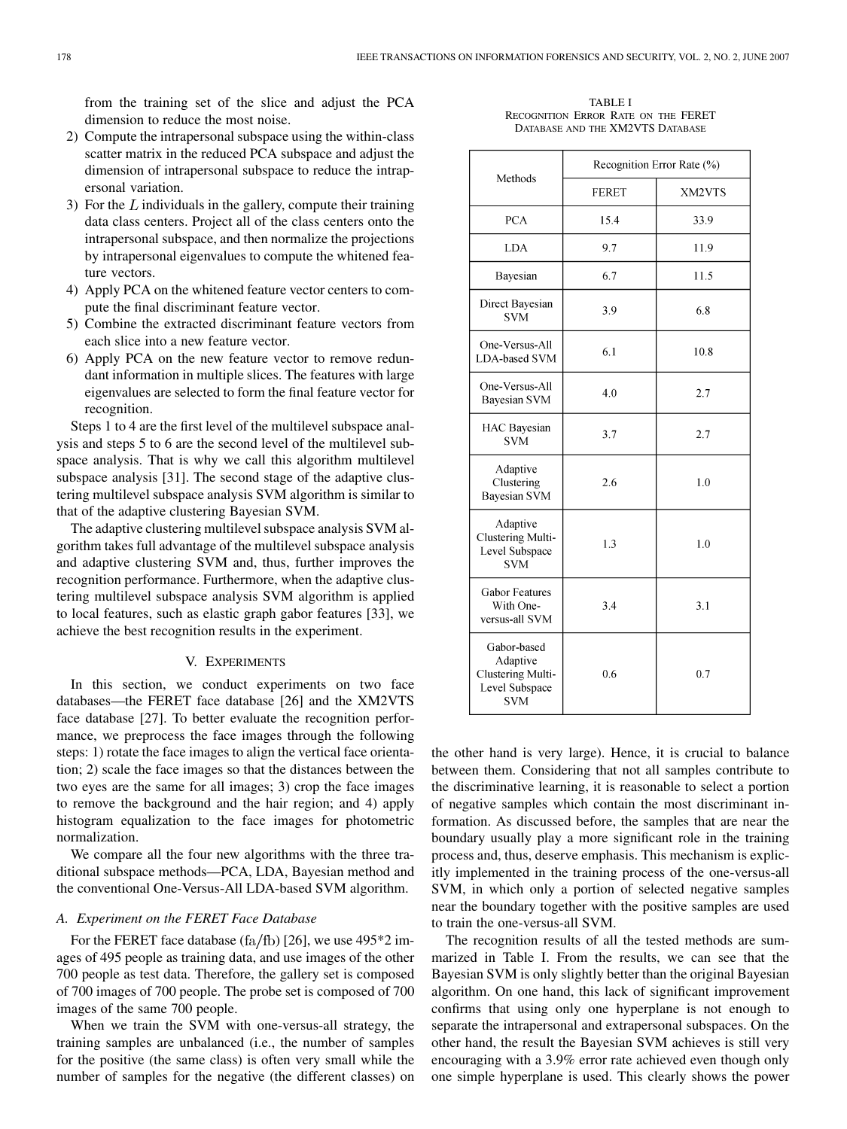from the training set of the slice and adjust the PCA dimension to reduce the most noise.

- 2) Compute the intrapersonal subspace using the within-class scatter matrix in the reduced PCA subspace and adjust the dimension of intrapersonal subspace to reduce the intrapersonal variation.
- 3) For the  $L$  individuals in the gallery, compute their training data class centers. Project all of the class centers onto the intrapersonal subspace, and then normalize the projections by intrapersonal eigenvalues to compute the whitened feature vectors.
- 4) Apply PCA on the whitened feature vector centers to compute the final discriminant feature vector.
- 5) Combine the extracted discriminant feature vectors from each slice into a new feature vector.
- 6) Apply PCA on the new feature vector to remove redundant information in multiple slices. The features with large eigenvalues are selected to form the final feature vector for recognition.

Steps 1 to 4 are the first level of the multilevel subspace analysis and steps 5 to 6 are the second level of the multilevel subspace analysis. That is why we call this algorithm multilevel subspace analysis [31]. The second stage of the adaptive clustering multilevel subspace analysis SVM algorithm is similar to that of the adaptive clustering Bayesian SVM.

The adaptive clustering multilevel subspace analysis SVM algorithm takes full advantage of the multilevel subspace analysis and adaptive clustering SVM and, thus, further improves the recognition performance. Furthermore, when the adaptive clustering multilevel subspace analysis SVM algorithm is applied to local features, such as elastic graph gabor features [33], we achieve the best recognition results in the experiment.

#### V. EXPERIMENTS

In this section, we conduct experiments on two face databases—the FERET face database [26] and the XM2VTS face database [27]. To better evaluate the recognition performance, we preprocess the face images through the following steps: 1) rotate the face images to align the vertical face orientation; 2) scale the face images so that the distances between the two eyes are the same for all images; 3) crop the face images to remove the background and the hair region; and 4) apply histogram equalization to the face images for photometric normalization.

We compare all the four new algorithms with the three traditional subspace methods—PCA, LDA, Bayesian method and the conventional One-Versus-All LDA-based SVM algorithm.

# *A. Experiment on the FERET Face Database*

For the FERET face database  $(fa/fb)$  [26], we use 495\*2 images of 495 people as training data, and use images of the other 700 people as test data. Therefore, the gallery set is composed of 700 images of 700 people. The probe set is composed of 700 images of the same 700 people.

When we train the SVM with one-versus-all strategy, the training samples are unbalanced (i.e., the number of samples for the positive (the same class) is often very small while the number of samples for the negative (the different classes) on

TABLE I RECOGNITION ERROR RATE ON THE FERET DATABASE AND THE XM2VTS DATABASE

| Methods                                                                      | Recognition Error Rate (%) |        |
|------------------------------------------------------------------------------|----------------------------|--------|
|                                                                              | <b>FERET</b>               | XM2VTS |
| <b>PCA</b>                                                                   | 15.4                       | 33.9   |
| <b>LDA</b>                                                                   | 9.7                        | 11.9   |
| Bayesian                                                                     | 6.7                        | 11.5   |
| Direct Bayesian<br><b>SVM</b>                                                | 3.9                        | 6.8    |
| One-Versus-All<br><b>LDA-based SVM</b>                                       | 6.1                        | 10.8   |
| One-Versus-All<br><b>Bayesian SVM</b>                                        | 4.0                        | 2.7    |
| <b>HAC Bayesian</b><br><b>SVM</b>                                            | 3.7                        | 2.7    |
| Adaptive<br>Clustering<br><b>Bayesian SVM</b>                                | 2.6                        | 1.0    |
| Adaptive<br>Clustering Multi-<br>Level Subspace<br><b>SVM</b>                | 1.3                        | 1.0    |
| <b>Gabor Features</b><br>With One-<br>versus-all SVM                         | 3.4                        | 3.1    |
| Gabor-based<br>Adaptive<br>Clustering Multi-<br>Level Subspace<br><b>SVM</b> | 0.6                        | 0.7    |

the other hand is very large). Hence, it is crucial to balance between them. Considering that not all samples contribute to the discriminative learning, it is reasonable to select a portion of negative samples which contain the most discriminant information. As discussed before, the samples that are near the boundary usually play a more significant role in the training process and, thus, deserve emphasis. This mechanism is explicitly implemented in the training process of the one-versus-all SVM, in which only a portion of selected negative samples near the boundary together with the positive samples are used to train the one-versus-all SVM.

The recognition results of all the tested methods are summarized in Table I. From the results, we can see that the Bayesian SVM is only slightly better than the original Bayesian algorithm. On one hand, this lack of significant improvement confirms that using only one hyperplane is not enough to separate the intrapersonal and extrapersonal subspaces. On the other hand, the result the Bayesian SVM achieves is still very encouraging with a 3.9% error rate achieved even though only one simple hyperplane is used. This clearly shows the power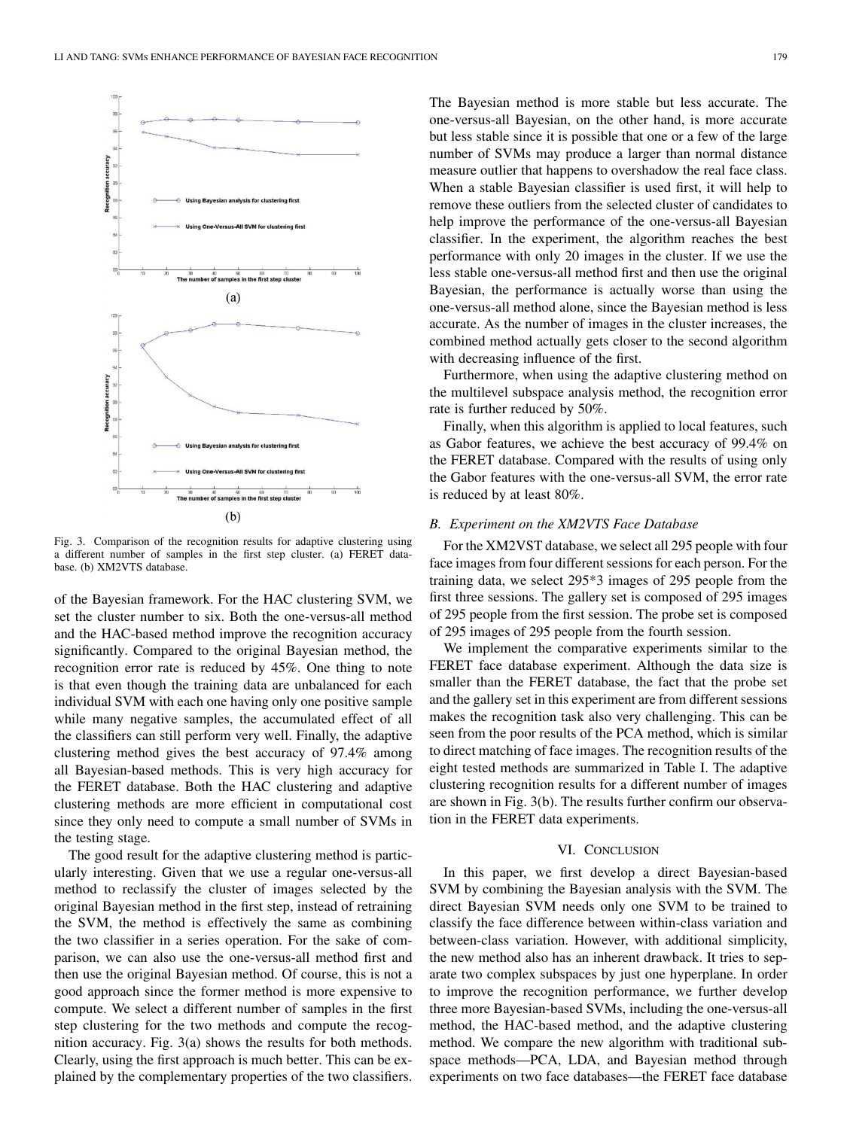

Fig. 3. Comparison of the recognition results for adaptive clustering using a different number of samples in the first step cluster. (a) FERET database. (b) XM2VTS database.

of the Bayesian framework. For the HAC clustering SVM, we set the cluster number to six. Both the one-versus-all method and the HAC-based method improve the recognition accuracy significantly. Compared to the original Bayesian method, the recognition error rate is reduced by 45%. One thing to note is that even though the training data are unbalanced for each individual SVM with each one having only one positive sample while many negative samples, the accumulated effect of all the classifiers can still perform very well. Finally, the adaptive clustering method gives the best accuracy of 97.4% among all Bayesian-based methods. This is very high accuracy for the FERET database. Both the HAC clustering and adaptive clustering methods are more efficient in computational cost since they only need to compute a small number of SVMs in the testing stage.

The good result for the adaptive clustering method is particularly interesting. Given that we use a regular one-versus-all method to reclassify the cluster of images selected by the original Bayesian method in the first step, instead of retraining the SVM, the method is effectively the same as combining the two classifier in a series operation. For the sake of comparison, we can also use the one-versus-all method first and then use the original Bayesian method. Of course, this is not a good approach since the former method is more expensive to compute. We select a different number of samples in the first step clustering for the two methods and compute the recognition accuracy. Fig. 3(a) shows the results for both methods. Clearly, using the first approach is much better. This can be explained by the complementary properties of the two classifiers.

The Bayesian method is more stable but less accurate. The one-versus-all Bayesian, on the other hand, is more accurate but less stable since it is possible that one or a few of the large number of SVMs may produce a larger than normal distance measure outlier that happens to overshadow the real face class. When a stable Bayesian classifier is used first, it will help to remove these outliers from the selected cluster of candidates to help improve the performance of the one-versus-all Bayesian classifier. In the experiment, the algorithm reaches the best performance with only 20 images in the cluster. If we use the less stable one-versus-all method first and then use the original Bayesian, the performance is actually worse than using the one-versus-all method alone, since the Bayesian method is less accurate. As the number of images in the cluster increases, the combined method actually gets closer to the second algorithm with decreasing influence of the first.

Furthermore, when using the adaptive clustering method on the multilevel subspace analysis method, the recognition error rate is further reduced by 50%.

Finally, when this algorithm is applied to local features, such as Gabor features, we achieve the best accuracy of 99.4% on the FERET database. Compared with the results of using only the Gabor features with the one-versus-all SVM, the error rate is reduced by at least 80%.

# *B. Experiment on the XM2VTS Face Database*

For the XM2VST database, we select all 295 people with four face images from four different sessions for each person. For the training data, we select 295\*3 images of 295 people from the first three sessions. The gallery set is composed of 295 images of 295 people from the first session. The probe set is composed of 295 images of 295 people from the fourth session.

We implement the comparative experiments similar to the FERET face database experiment. Although the data size is smaller than the FERET database, the fact that the probe set and the gallery set in this experiment are from different sessions makes the recognition task also very challenging. This can be seen from the poor results of the PCA method, which is similar to direct matching of face images. The recognition results of the eight tested methods are summarized in Table I. The adaptive clustering recognition results for a different number of images are shown in Fig. 3(b). The results further confirm our observation in the FERET data experiments.

#### VI. CONCLUSION

In this paper, we first develop a direct Bayesian-based SVM by combining the Bayesian analysis with the SVM. The direct Bayesian SVM needs only one SVM to be trained to classify the face difference between within-class variation and between-class variation. However, with additional simplicity, the new method also has an inherent drawback. It tries to separate two complex subspaces by just one hyperplane. In order to improve the recognition performance, we further develop three more Bayesian-based SVMs, including the one-versus-all method, the HAC-based method, and the adaptive clustering method. We compare the new algorithm with traditional subspace methods—PCA, LDA, and Bayesian method through experiments on two face databases—the FERET face database